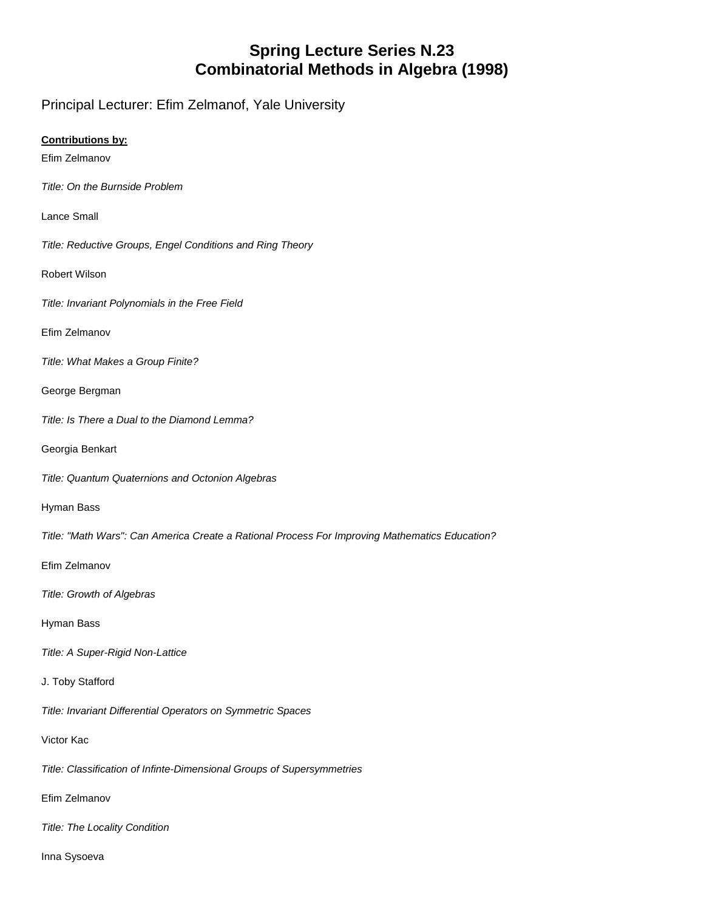## **Spring Lecture Series N.23 Combinatorial Methods in Algebra (1998)**

Principal Lecturer: Efim Zelmanof, Yale University

## **Contributions by:**

Efim Zelmanov

*Title: On the Burnside Problem*

Lance Small

*Title: Reductive Groups, Engel Conditions and Ring Theory*

Robert Wilson

*Title: Invariant Polynomials in the Free Field*

Efim Zelmanov

*Title: What Makes a Group Finite?*

George Bergman

*Title: Is There a Dual to the Diamond Lemma?*

Georgia Benkart

*Title: Quantum Quaternions and Octonion Algebras*

Hyman Bass

*Title: "Math Wars": Can America Create a Rational Process For Improving Mathematics Education?*

Efim Zelmanov

*Title: Growth of Algebras*

Hyman Bass

*Title: A Super-Rigid Non-Lattice*

J. Toby Stafford

*Title: Invariant Differential Operators on Symmetric Spaces*

Victor Kac

*Title: Classification of Infinte-Dimensional Groups of Supersymmetries*

Efim Zelmanov

*Title: The Locality Condition*

Inna Sysoeva